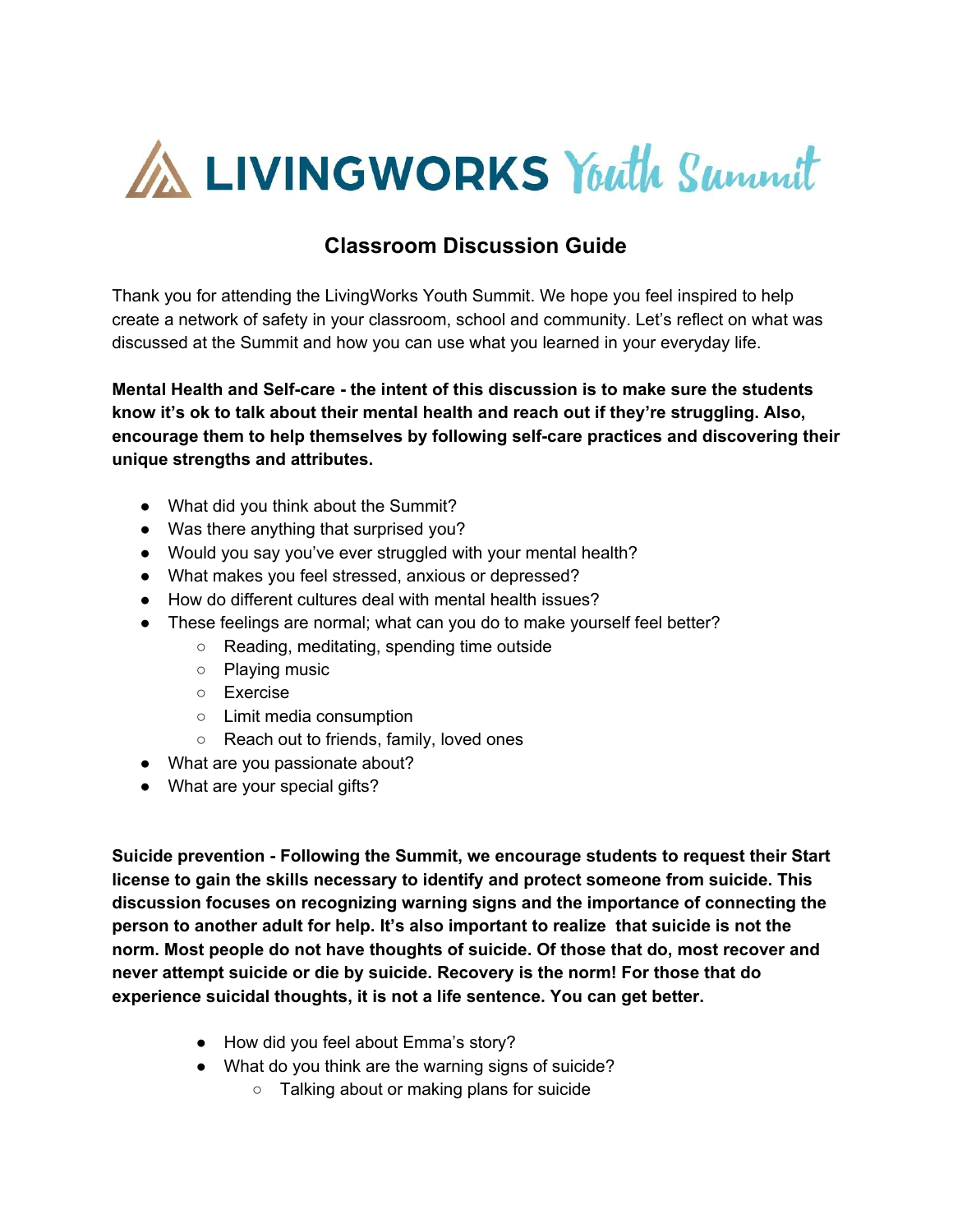

## **Classroom Discussion Guide**

Thank you for attending the LivingWorks Youth Summit. We hope you feel inspired to help create a network of safety in your classroom, school and community. Let's reflect on what was discussed at the Summit and how you can use what you learned in your everyday life.

**Mental Health and Self-care - the intent of this discussion is to make sure the students know it's ok to talk about their mental health and reach out if they're struggling. Also, encourage them to help themselves by following self-care practices and discovering their unique strengths and attributes.**

- What did you think about the Summit?
- Was there anything that surprised you?
- Would you say you've ever struggled with your mental health?
- What makes you feel stressed, anxious or depressed?
- How do different cultures deal with mental health issues?
- These feelings are normal; what can you do to make yourself feel better?
	- Reading, meditating, spending time outside
	- Playing music
	- Exercise
	- Limit media consumption
	- Reach out to friends, family, loved ones
- What are you passionate about?
- What are your special gifts?

**Suicide prevention - Following the Summit, we encourage students to request their Start license to gain the skills necessary to identify and protect someone from suicide. This discussion focuses on recognizing warning signs and the importance of connecting the person to another adult for help. It's also important to realize that suicide is not the norm. Most people do not have thoughts of suicide. Of those that do, most recover and never attempt suicide or die by suicide. Recovery is the norm! For those that do experience suicidal thoughts, it is not a life sentence. You can get better.**

- How did you feel about Emma's story?
- What do you think are the warning signs of suicide?
	- Talking about or making plans for suicide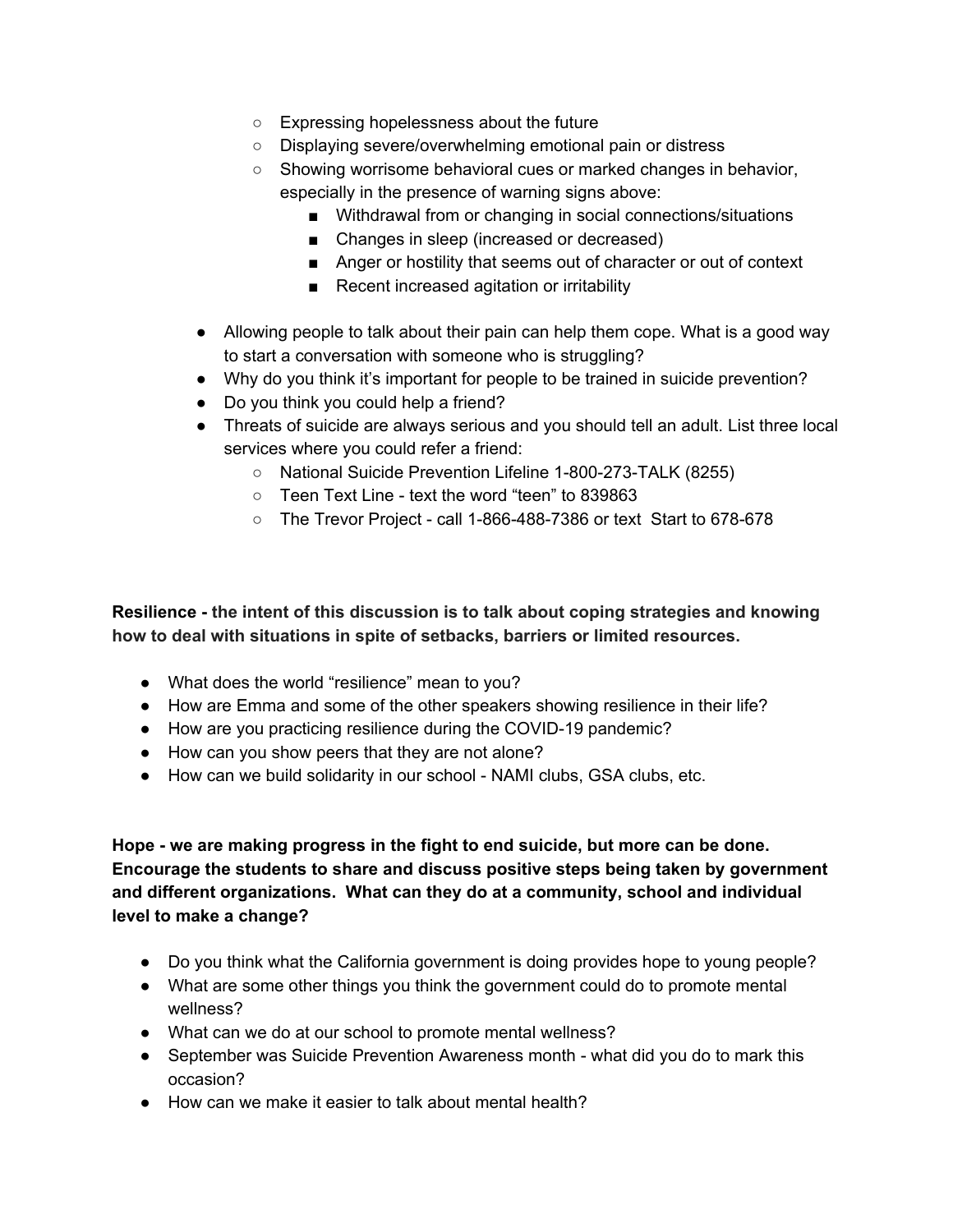- Expressing hopelessness about the future
- Displaying severe/overwhelming emotional pain or distress
- Showing worrisome behavioral cues or marked changes in behavior, especially in the presence of warning signs above:
	- Withdrawal from or changing in social connections/situations
	- Changes in sleep (increased or decreased)
	- Anger or hostility that seems out of character or out of context
	- Recent increased agitation or irritability
- Allowing people to talk about their pain can help them cope. What is a good way to start a conversation with someone who is struggling?
- Why do you think it's important for people to be trained in suicide prevention?
- Do you think you could help a friend?
- Threats of suicide are always serious and you should tell an adult. List three local services where you could refer a friend:
	- National Suicide Prevention Lifeline 1-800-273-TALK (8255)
	- Teen Text Line text the word "teen" to 839863
	- The Trevor Project call 1-866-488-7386 or text Start to 678-678

**Resilience - the intent of this discussion is to talk about coping strategies and knowing how to deal with situations in spite of setbacks, barriers or limited resources.**

- What does the world "resilience" mean to you?
- How are Emma and some of the other speakers showing resilience in their life?
- How are you practicing resilience during the COVID-19 pandemic?
- How can you show peers that they are not alone?
- How can we build solidarity in our school NAMI clubs, GSA clubs, etc.

**Hope - we are making progress in the fight to end suicide, but more can be done. Encourage the students to share and discuss positive steps being taken by government and different organizations. What can they do at a community, school and individual level to make a change?**

- Do you think what the California government is doing provides hope to young people?
- What are some other things you think the government could do to promote mental wellness?
- What can we do at our school to promote mental wellness?
- September was Suicide Prevention Awareness month what did you do to mark this occasion?
- How can we make it easier to talk about mental health?